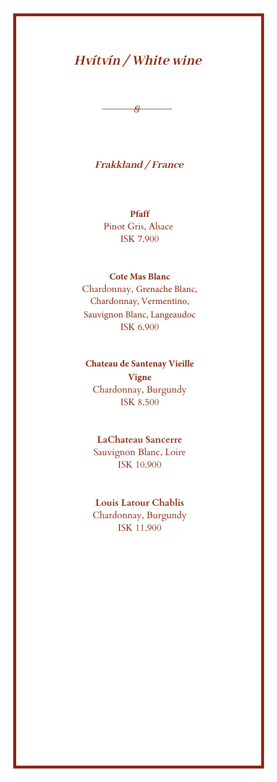### **Pfaff**

 $\Theta$ 

Pinot Gris, Alsace ISK 7.500

### **Cote Mas Blanc**

Chardonnay, Grenache Blanc, Chardonnay, Vermentino, Sauvignon Blanc, Langeaudoc ISK 6.500

### **Chateau de Santenay Vieille**

#### **Vigne**

Chardonnay, Burgundy ISK 9.900

### **LaChateau Sancerre**

Sauvignon Blanc, Loire ISK 10.900

### **Louis Latour Chablis**

Chardonnay, Burgundy ISK 11.900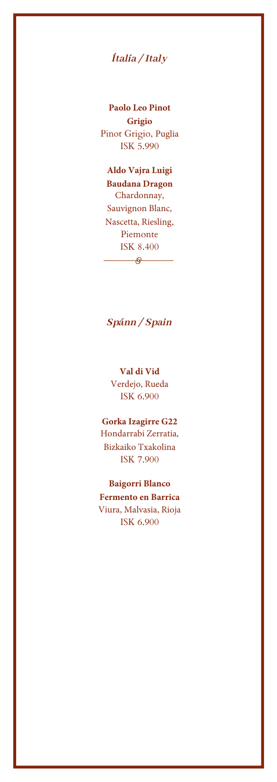# *Ítalía / Italy*

**Paolo Leo Pinot Grigio** Pinot Grigio, Puglia ISK 6.500

**Aldo Vajra Luigi Baudana Dragon**  Chardonnay, Sauvignon Blanc, Nascetta, Riesling, Piemonte ISK 8.900

## *Spánn / Spain*

 $\overline{\phantom{a}}$ 

**Val di Vid**  Verdejo, Rueda ISK 6.900

### **Gorka Izagirre G22**

Hondarrabi Zerratia, Bizkaiko Txakolina ISK 8.900

**Baigorri Blanco Fermento en Barrica**  Viura, Malvasia, Rioja ISK 8.900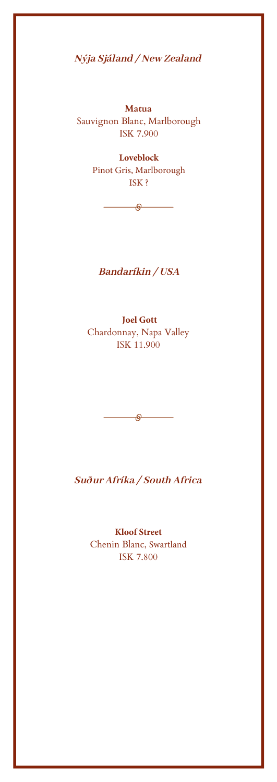*Nýja Sjáland / New Zealand*

**Matua** Sauvignon Blanc, Marlborough ISK 7.900

> **Loveblock**  Pinot Gris, Marlborough ISK 8.700

## *Bandaríkin / USA*

 $\overline{\phantom{a}}$ 

**Joel Gott**  Chardonnay, Napa Valley ISK 8.900

*Suður Afríka / South Africa*

 $\overline{\phantom{a}}$ 

**Kloof Street** Chenin Blanc, Swartland ISK 7.900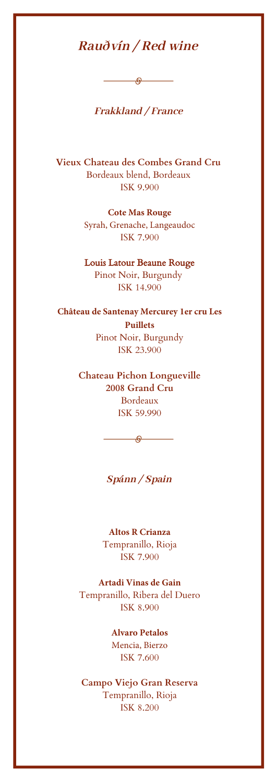# *Rauðvín / Red wine*

 $\overline{\phantom{a}}$ 

## *Frakkland / France*

**Vieux Chateau des Combes Grand Cru**  Bordeaux blend, Bordeaux ISK 9.900

#### **Cote Mas Rouge**

Syrah, Grenache, Langeaudoc ISK 6.500

**Louis Latour Beaune Rouge** Pinot Noir, Burgundy ISK 14.900

**Château de Santenay Mercurey 1er cru Les Puillets** Pinot Noir, Burgundy

ISK 14.900

**Chateau Pichon Longueville 2008 Grand Cru** Bordeaux ISK 59.990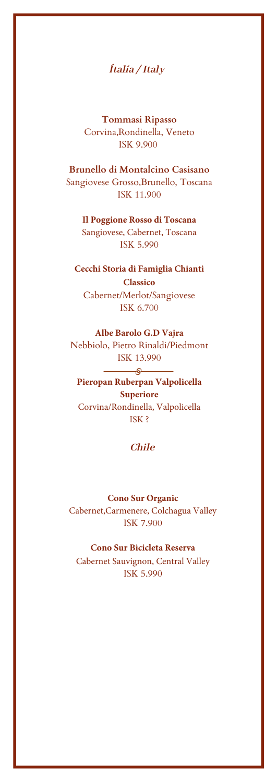## *Ítalía / Italy*

**Tommasi Ripasso** Corvina, Rondinella, Veneto ISK 9.900

**Brunello di Montalcino Casisano**  Sangiovese Grosso, Brunello, Toscana ISK 11.900

**Il Poggione Rosso di Toscana**  Sangiovese, Cabernet, Toscana ISK 7.500

**Cecchi Storia di Famiglia Chianti Classico** Cabernet/Merlot/Sangiovese

ISK 7.900

#### **Albe Barolo G.D Vajra**

Nebbiolo, Pietro Rinaldi/Piedmont ISK 17.900

**Pieropan Ruberpan Valpolicella Superiore**  Corvina/Rondinella, Valpolicella ISK 10.500

### *Chile*

 $\overline{\phantom{a}}$ 

**Cono Sur Organic** Cabernet,Carmenere, Colchagua Valley ISK 7.500

#### **Cono Sur Bicicleta Reserva**

Cabernet Sauvignon, Central Valley ISK 6.500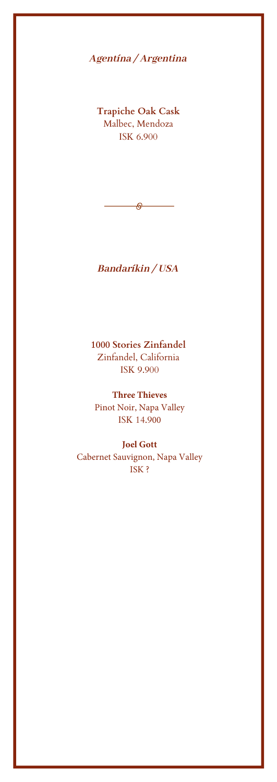### *Bandaríkin / USA*

**1000 Stories Zinfandel**  Zinfandel, California ISK 9.900

**Three Thieves**  Pinot Noir, Napa Valley ISK 7.900

**Joel Gott** Cabernet Sauvignon, Napa Valley ISK 9.900

*Spánn / Spain*

 $\overline{\phantom{a}}$ 

**Altos R Crianza**  Tempranillo, Rioja ISK 7.500

**Artadi Vinas de Gain**  Tempranillo, Ribera del Duero ISK12.500

> **Alvaro Petalos** Mencia, Bierzo ISK 9.900

**Campo Viejo Gran Reserva** Tempranillo, Rioja ISK 8.200